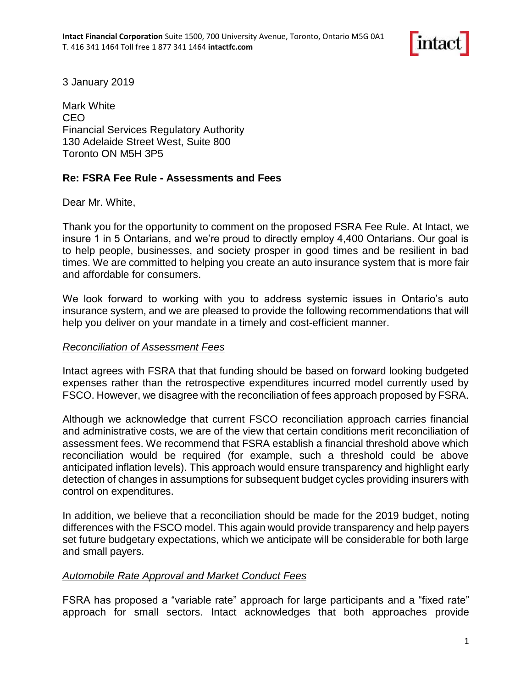

3 January 2019

Mark White CEO Financial Services Regulatory Authority 130 Adelaide Street West, Suite 800 Toronto ON M5H 3P5

## **Re: FSRA Fee Rule - Assessments and Fees**

Dear Mr. White,

Thank you for the opportunity to comment on the proposed FSRA Fee Rule. At Intact, we insure 1 in 5 Ontarians, and we're proud to directly employ 4,400 Ontarians. Our goal is to help people, businesses, and society prosper in good times and be resilient in bad times. We are committed to helping you create an auto insurance system that is more fair and affordable for consumers.

We look forward to working with you to address systemic issues in Ontario's auto insurance system, and we are pleased to provide the following recommendations that will help you deliver on your mandate in a timely and cost-efficient manner.

#### *Reconciliation of Assessment Fees*

Intact agrees with FSRA that that funding should be based on forward looking budgeted expenses rather than the retrospective expenditures incurred model currently used by FSCO. However, we disagree with the reconciliation of fees approach proposed by FSRA.

Although we acknowledge that current FSCO reconciliation approach carries financial and administrative costs, we are of the view that certain conditions merit reconciliation of assessment fees. We recommend that FSRA establish a financial threshold above which reconciliation would be required (for example, such a threshold could be above anticipated inflation levels). This approach would ensure transparency and highlight early detection of changes in assumptions for subsequent budget cycles providing insurers with control on expenditures.

In addition, we believe that a reconciliation should be made for the 2019 budget, noting differences with the FSCO model. This again would provide transparency and help payers set future budgetary expectations, which we anticipate will be considerable for both large and small payers.

#### *Automobile Rate Approval and Market Conduct Fees*

FSRA has proposed a "variable rate" approach for large participants and a "fixed rate" approach for small sectors. Intact acknowledges that both approaches provide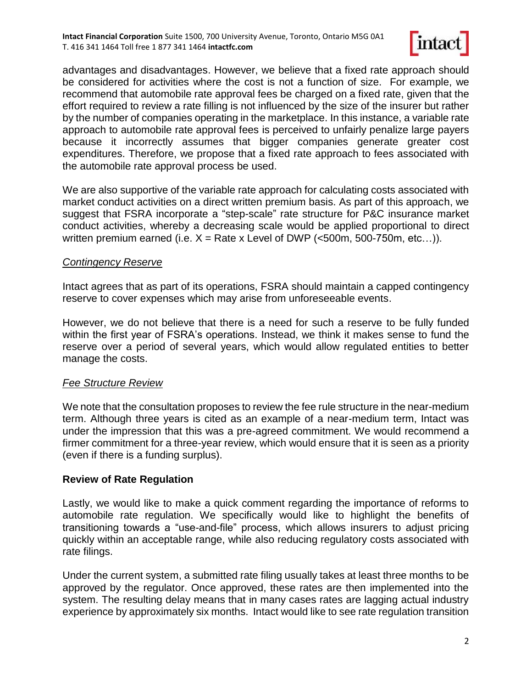

advantages and disadvantages. However, we believe that a fixed rate approach should be considered for activities where the cost is not a function of size. For example, we recommend that automobile rate approval fees be charged on a fixed rate, given that the effort required to review a rate filling is not influenced by the size of the insurer but rather by the number of companies operating in the marketplace. In this instance, a variable rate approach to automobile rate approval fees is perceived to unfairly penalize large payers because it incorrectly assumes that bigger companies generate greater cost expenditures. Therefore, we propose that a fixed rate approach to fees associated with the automobile rate approval process be used.

We are also supportive of the variable rate approach for calculating costs associated with market conduct activities on a direct written premium basis. As part of this approach, we suggest that FSRA incorporate a "step-scale" rate structure for P&C insurance market conduct activities, whereby a decreasing scale would be applied proportional to direct written premium earned (i.e.  $X =$  Rate x Level of DWP (<500m, 500-750m, etc...)).

### *Contingency Reserve*

Intact agrees that as part of its operations, FSRA should maintain a capped contingency reserve to cover expenses which may arise from unforeseeable events.

However, we do not believe that there is a need for such a reserve to be fully funded within the first year of FSRA's operations. Instead, we think it makes sense to fund the reserve over a period of several years, which would allow regulated entities to better manage the costs.

### *Fee Structure Review*

We note that the consultation proposes to review the fee rule structure in the near-medium term. Although three years is cited as an example of a near-medium term, Intact was under the impression that this was a pre-agreed commitment. We would recommend a firmer commitment for a three-year review, which would ensure that it is seen as a priority (even if there is a funding surplus).

# **Review of Rate Regulation**

Lastly, we would like to make a quick comment regarding the importance of reforms to automobile rate regulation. We specifically would like to highlight the benefits of transitioning towards a "use-and-file" process, which allows insurers to adjust pricing quickly within an acceptable range, while also reducing regulatory costs associated with rate filings.

Under the current system, a submitted rate filing usually takes at least three months to be approved by the regulator. Once approved, these rates are then implemented into the system. The resulting delay means that in many cases rates are lagging actual industry experience by approximately six months. Intact would like to see rate regulation transition